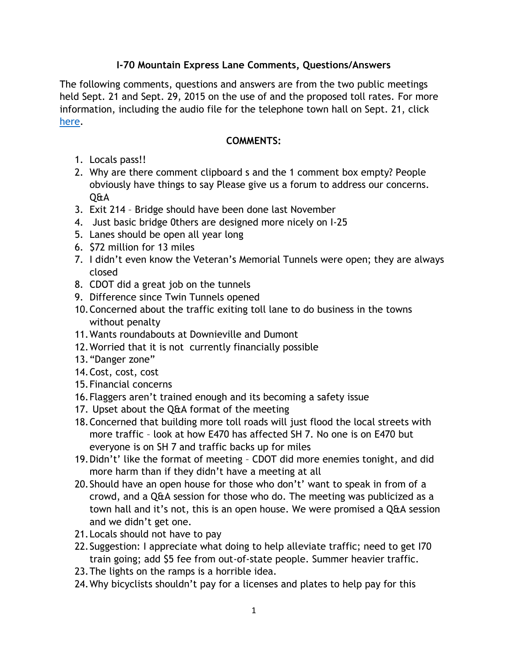# **I-70 Mountain Express Lane Comments, Questions/Answers**

The following comments, questions and answers are from the two public meetings held Sept. 21 and Sept. 29, 2015 on the use of and the proposed toll rates. For more information, including the audio file for the telephone town hall on Sept. 21, click [here.](https://www.codot.gov/programs/high-performance-transportation-enterprise-hpte/projects/i-70/i-70-mountain-express-lanes/transparency-events-outreach/events-i70mtn)

#### **COMMENTS:**

- 1. Locals pass!!
- 2. Why are there comment clipboard s and the 1 comment box empty? People obviously have things to say Please give us a forum to address our concerns. Q&A
- 3. Exit 214 Bridge should have been done last November
- 4. Just basic bridge 0thers are designed more nicely on I-25
- 5. Lanes should be open all year long
- 6. \$72 million for 13 miles
- 7. I didn't even know the Veteran's Memorial Tunnels were open; they are always closed
- 8. CDOT did a great job on the tunnels
- 9. Difference since Twin Tunnels opened
- 10.Concerned about the traffic exiting toll lane to do business in the towns without penalty
- 11.Wants roundabouts at Downieville and Dumont
- 12.Worried that it is not currently financially possible
- 13."Danger zone"
- 14.Cost, cost, cost
- 15.Financial concerns
- 16.Flaggers aren't trained enough and its becoming a safety issue
- 17. Upset about the Q&A format of the meeting
- 18.Concerned that building more toll roads will just flood the local streets with more traffic – look at how E470 has affected SH 7. No one is on E470 but everyone is on SH 7 and traffic backs up for miles
- 19.Didn't' like the format of meeting CDOT did more enemies tonight, and did more harm than if they didn't have a meeting at all
- 20.Should have an open house for those who don't' want to speak in from of a crowd, and a Q&A session for those who do. The meeting was publicized as a town hall and it's not, this is an open house. We were promised a Q&A session and we didn't get one.
- 21.Locals should not have to pay
- 22.Suggestion: I appreciate what doing to help alleviate traffic; need to get I70 train going; add \$5 fee from out-of-state people. Summer heavier traffic.
- 23.The lights on the ramps is a horrible idea.
- 24.Why bicyclists shouldn't pay for a licenses and plates to help pay for this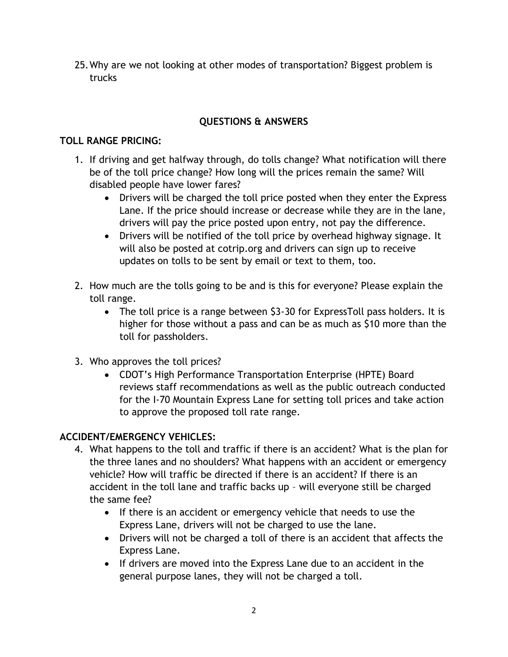25.Why are we not looking at other modes of transportation? Biggest problem is trucks

# **QUESTIONS & ANSWERS**

# **TOLL RANGE PRICING:**

- 1. If driving and get halfway through, do tolls change? What notification will there be of the toll price change? How long will the prices remain the same? Will disabled people have lower fares?
	- Drivers will be charged the toll price posted when they enter the Express Lane. If the price should increase or decrease while they are in the lane, drivers will pay the price posted upon entry, not pay the difference.
	- Drivers will be notified of the toll price by overhead highway signage. It will also be posted at cotrip.org and drivers can sign up to receive updates on tolls to be sent by email or text to them, too.
- 2. How much are the tolls going to be and is this for everyone? Please explain the toll range.
	- The toll price is a range between \$3-30 for ExpressToll pass holders. It is higher for those without a pass and can be as much as \$10 more than the toll for passholders.
- 3. Who approves the toll prices?
	- CDOT's High Performance Transportation Enterprise (HPTE) Board reviews staff recommendations as well as the public outreach conducted for the I-70 Mountain Express Lane for setting toll prices and take action to approve the proposed toll rate range.

# **ACCIDENT/EMERGENCY VEHICLES:**

- 4. What happens to the toll and traffic if there is an accident? What is the plan for the three lanes and no shoulders? What happens with an accident or emergency vehicle? How will traffic be directed if there is an accident? If there is an accident in the toll lane and traffic backs up – will everyone still be charged the same fee?
	- If there is an accident or emergency vehicle that needs to use the Express Lane, drivers will not be charged to use the lane.
	- Drivers will not be charged a toll of there is an accident that affects the Express Lane.
	- If drivers are moved into the Express Lane due to an accident in the general purpose lanes, they will not be charged a toll.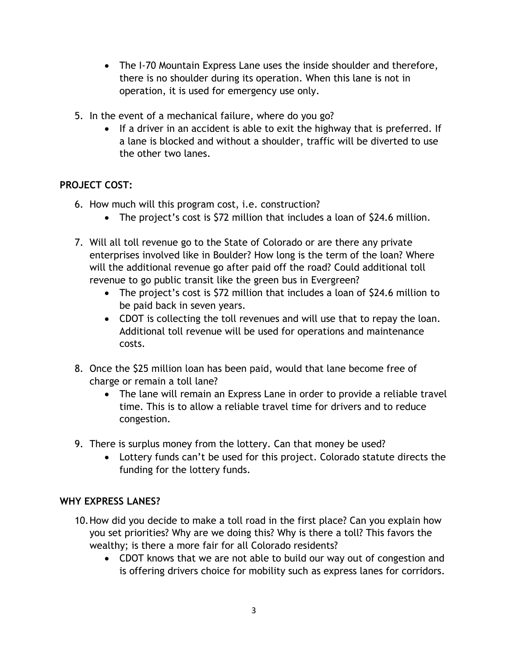- The I-70 Mountain Express Lane uses the inside shoulder and therefore, there is no shoulder during its operation. When this lane is not in operation, it is used for emergency use only.
- 5. In the event of a mechanical failure, where do you go?
	- If a driver in an accident is able to exit the highway that is preferred. If a lane is blocked and without a shoulder, traffic will be diverted to use the other two lanes.

# **PROJECT COST:**

- 6. How much will this program cost, i.e. construction?
	- The project's cost is \$72 million that includes a loan of \$24.6 million.
- 7. Will all toll revenue go to the State of Colorado or are there any private enterprises involved like in Boulder? How long is the term of the loan? Where will the additional revenue go after paid off the road? Could additional toll revenue to go public transit like the green bus in Evergreen?
	- The project's cost is \$72 million that includes a loan of \$24.6 million to be paid back in seven years.
	- CDOT is collecting the toll revenues and will use that to repay the loan. Additional toll revenue will be used for operations and maintenance costs.
- 8. Once the \$25 million loan has been paid, would that lane become free of charge or remain a toll lane?
	- The lane will remain an Express Lane in order to provide a reliable travel time. This is to allow a reliable travel time for drivers and to reduce congestion.
- 9. There is surplus money from the lottery. Can that money be used?
	- Lottery funds can't be used for this project. Colorado statute directs the funding for the lottery funds.

# **WHY EXPRESS LANES?**

- 10.How did you decide to make a toll road in the first place? Can you explain how you set priorities? Why are we doing this? Why is there a toll? This favors the wealthy; is there a more fair for all Colorado residents?
	- CDOT knows that we are not able to build our way out of congestion and is offering drivers choice for mobility such as express lanes for corridors.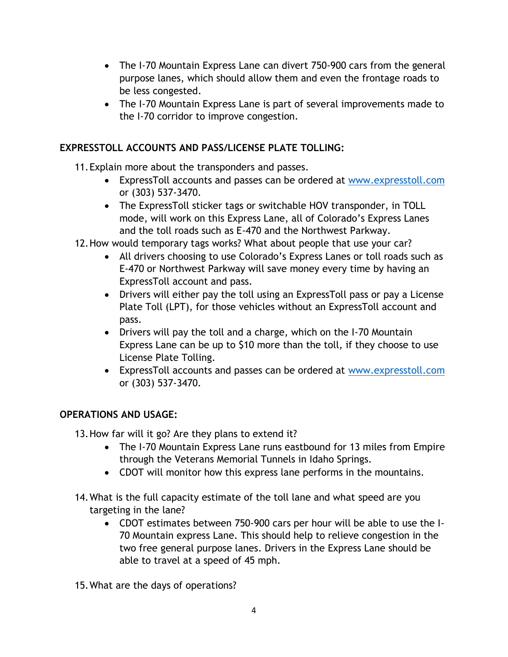- The I-70 Mountain Express Lane can divert 750-900 cars from the general purpose lanes, which should allow them and even the frontage roads to be less congested.
- The I-70 Mountain Express Lane is part of several improvements made to the I-70 corridor to improve congestion.

# **EXPRESSTOLL ACCOUNTS AND PASS/LICENSE PLATE TOLLING:**

11.Explain more about the transponders and passes.

- ExpressToll accounts and passes can be ordered at [www.expresstoll.com](http://www.expresstoll.com/) or (303) 537-3470.
- The ExpressToll sticker tags or switchable HOV transponder, in TOLL mode, will work on this Express Lane, all of Colorado's Express Lanes and the toll roads such as E-470 and the Northwest Parkway.
- 12.How would temporary tags works? What about people that use your car?
	- All drivers choosing to use Colorado's Express Lanes or toll roads such as E-470 or Northwest Parkway will save money every time by having an ExpressToll account and pass.
	- Drivers will either pay the toll using an ExpressToll pass or pay a License Plate Toll (LPT), for those vehicles without an ExpressToll account and pass.
	- Drivers will pay the toll and a charge, which on the I-70 Mountain Express Lane can be up to \$10 more than the toll, if they choose to use License Plate Tolling.
	- ExpressToll accounts and passes can be ordered at [www.expresstoll.com](http://www.expresstoll.com/) or (303) 537-3470.

# **OPERATIONS AND USAGE:**

13.How far will it go? Are they plans to extend it?

- The I-70 Mountain Express Lane runs eastbound for 13 miles from Empire through the Veterans Memorial Tunnels in Idaho Springs.
- CDOT will monitor how this express lane performs in the mountains.
- 14.What is the full capacity estimate of the toll lane and what speed are you targeting in the lane?
	- CDOT estimates between 750-900 cars per hour will be able to use the I-70 Mountain express Lane. This should help to relieve congestion in the two free general purpose lanes. Drivers in the Express Lane should be able to travel at a speed of 45 mph.
- 15.What are the days of operations?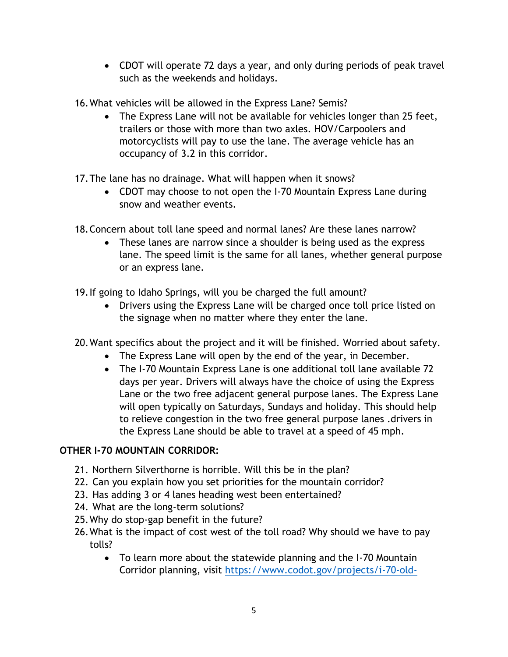- CDOT will operate 72 days a year, and only during periods of peak travel such as the weekends and holidays.
- 16.What vehicles will be allowed in the Express Lane? Semis?
	- The Express Lane will not be available for vehicles longer than 25 feet, trailers or those with more than two axles. HOV/Carpoolers and motorcyclists will pay to use the lane. The average vehicle has an occupancy of 3.2 in this corridor.
- 17.The lane has no drainage. What will happen when it snows?
	- CDOT may choose to not open the I-70 Mountain Express Lane during snow and weather events.
- 18.Concern about toll lane speed and normal lanes? Are these lanes narrow?
	- These lanes are narrow since a shoulder is being used as the express lane. The speed limit is the same for all lanes, whether general purpose or an express lane.
- 19.If going to Idaho Springs, will you be charged the full amount?
	- Drivers using the Express Lane will be charged once toll price listed on the signage when no matter where they enter the lane.
- 20.Want specifics about the project and it will be finished. Worried about safety.
	- The Express Lane will open by the end of the year, in December.
	- The I-70 Mountain Express Lane is one additional toll lane available 72 days per year. Drivers will always have the choice of using the Express Lane or the two free adjacent general purpose lanes. The Express Lane will open typically on Saturdays, Sundays and holiday. This should help to relieve congestion in the two free general purpose lanes .drivers in the Express Lane should be able to travel at a speed of 45 mph.

# **OTHER I-70 MOUNTAIN CORRIDOR:**

- 21. Northern Silverthorne is horrible. Will this be in the plan?
- 22. Can you explain how you set priorities for the mountain corridor?
- 23. Has adding 3 or 4 lanes heading west been entertained?
- 24. What are the long-term solutions?
- 25.Why do stop-gap benefit in the future?
- 26.What is the impact of cost west of the toll road? Why should we have to pay tolls?
	- To learn more about the statewide planning and the I-70 Mountain Corridor planning, visit [https://www.codot.gov/projects/i-70-old-](https://www.codot.gov/projects/i-70-old-mountaincorridor)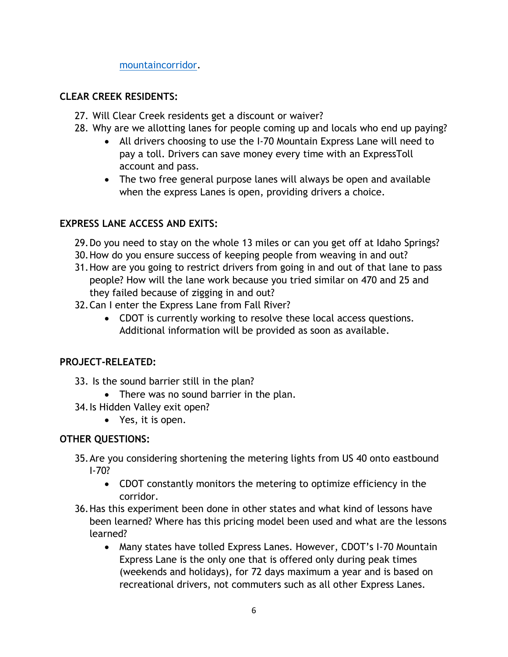[mountaincorridor.](https://www.codot.gov/projects/i-70-old-mountaincorridor)

# **CLEAR CREEK RESIDENTS:**

- 27. Will Clear Creek residents get a discount or waiver?
- 28. Why are we allotting lanes for people coming up and locals who end up paying?
	- All drivers choosing to use the I-70 Mountain Express Lane will need to pay a toll. Drivers can save money every time with an ExpressToll account and pass.
	- The two free general purpose lanes will always be open and available when the express Lanes is open, providing drivers a choice.

# **EXPRESS LANE ACCESS AND EXITS:**

- 29.Do you need to stay on the whole 13 miles or can you get off at Idaho Springs?
- 30.How do you ensure success of keeping people from weaving in and out?
- 31.How are you going to restrict drivers from going in and out of that lane to pass people? How will the lane work because you tried similar on 470 and 25 and they failed because of zigging in and out?
- 32.Can I enter the Express Lane from Fall River?
	- CDOT is currently working to resolve these local access questions. Additional information will be provided as soon as available.

# **PROJECT-RELEATED:**

- 33. Is the sound barrier still in the plan?
	- There was no sound barrier in the plan.
- 34.Is Hidden Valley exit open?
	- Yes, it is open.

# **OTHER QUESTIONS:**

- 35.Are you considering shortening the metering lights from US 40 onto eastbound I-70?
	- CDOT constantly monitors the metering to optimize efficiency in the corridor.
- 36.Has this experiment been done in other states and what kind of lessons have been learned? Where has this pricing model been used and what are the lessons learned?
	- Many states have tolled Express Lanes. However, CDOT's I-70 Mountain Express Lane is the only one that is offered only during peak times (weekends and holidays), for 72 days maximum a year and is based on recreational drivers, not commuters such as all other Express Lanes.